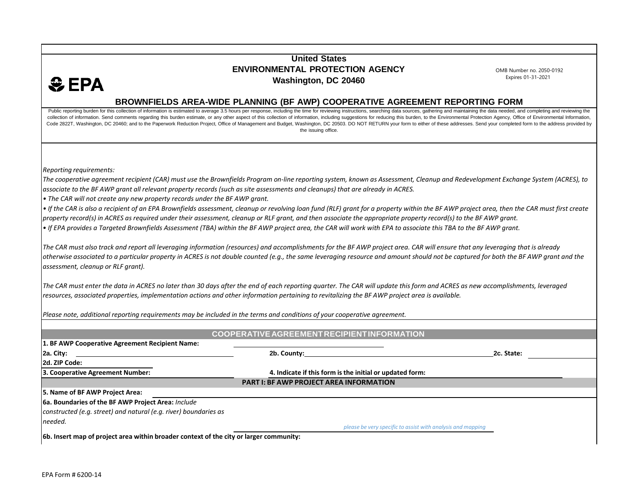## **United States ENVIRONMENTAL PROTECTION AGENCY Washington, DC 20460**

OMB Number no. 2050-0192 Expires 01-31-2021

## **BROWNFIELDS AREA-WIDE PLANNING (BF AWP) COOPERATIVE AGREEMENT REPORTING FORM**

Public reporting burden for this collection of information is estimated to average 3.5 hours per response, including the time for reviewing instructions, searching data sources, gathering and maintaining the data needed, a collection of information. Send comments regarding this burden estimate, or any other aspect of this collection of information, including suggestions for reducing this burden, to the Environmental Protection Agency, Office Code 2822T, Washington, DC 20460; and to the Paperwork Reduction Project, Office of Management and Budget, Washington, DC 20503. DO NOT RETURN your form to either of these addresses. Send your completed form to the address the issuing office.

*Reporting requirements:*

 $<sup>•</sup>$  EPA</sup>

The cooperative agreement recipient (CAR) must use the Brownfields Program on-line reporting system, known as Assessment, Cleanup and Redevelopment Exchange System (ACRES), to associate to the BF AWP grant all relevant property records (such as site assessments and cleanups) that are already in ACRES.

*• The CAR will not create any new property records under the BF AWP grant.*

• If the CAR is also a recipient of an EPA Brownfields assessment, cleanup or revolving loan fund (RLF) grant for a property within the BF AWP project area, then the CAR must first create property record(s) in ACRES as required under their assessment, cleanup or RLF grant, and then associate the appropriate property record(s) to the BF AWP grant. *• If EPA provides a Targeted Brownfields Assessment (TBA) within the BF AWP project area, the CAR will work with EPA to associate this TBA to the BF AWP grant.*

The CAR must also track and report all leveraging information (resources) and accomplishments for the BF AWP project area. CAR will ensure that any leveraging that is already otherwise associated to a particular property in ACRES is not double counted (e.g., the same leveraging resource and amount should not be captured for both the BF AWP grant and the *assessment, cleanup or RLF grant).*

The CAR must enter the data in ACRES no later than 30 days after the end of each reporting quarter. The CAR will update this form and ACRES as new accomplishments, leveraged resources, associated properties, implementation actions and other information pertaining to revitalizing the BF AWP project area is available.

Please note, additional reporting requirements may be included in the terms and conditions of your cooperative agreement. **COOPERATIVEAGREEMENTRECIPIENTINFORMATION 1. BF AWP Cooperative Agreement Recipient Name: 2a. City: 2b. County: 2c. State: 2d. ZIP Code: 3. Cooperative Agreement Number: 5. Name of BF AWP Project Area: 6a. Boundaries of the BF AWP Project Area:** *Include constructed (e.g. street) and natural (e.g. river) boundaries as needed.* **4. Indicate if this form is the initial or updated form: PART I: BF AWP PROJECT AREA INFORMATION** *please be very specific to assist with analysis and mapping* **6b. Insert map of project area within broader context of the city or larger community:**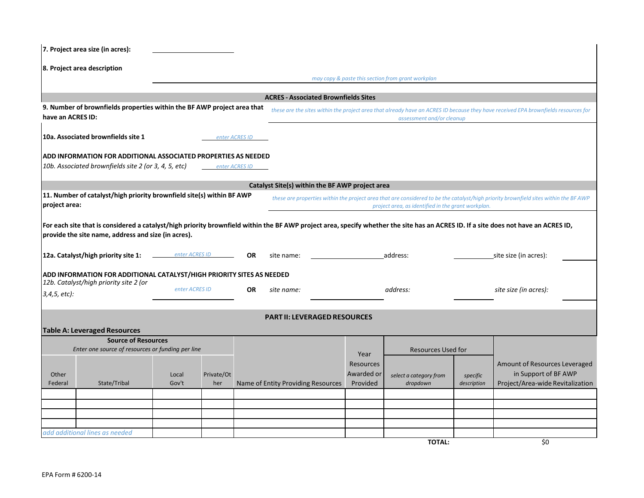| 7. Project area size (in acres):                                                                                                                                                                                                                                                                                                                             |                                                                                                                                          |                |                   |                |                                                 |                                            |  |                                                    |                         |                                                                                                                                      |
|--------------------------------------------------------------------------------------------------------------------------------------------------------------------------------------------------------------------------------------------------------------------------------------------------------------------------------------------------------------|------------------------------------------------------------------------------------------------------------------------------------------|----------------|-------------------|----------------|-------------------------------------------------|--------------------------------------------|--|----------------------------------------------------|-------------------------|--------------------------------------------------------------------------------------------------------------------------------------|
|                                                                                                                                                                                                                                                                                                                                                              | 8. Project area description                                                                                                              |                |                   |                |                                                 |                                            |  |                                                    |                         |                                                                                                                                      |
|                                                                                                                                                                                                                                                                                                                                                              |                                                                                                                                          |                |                   |                |                                                 |                                            |  | may copy & paste this section from grant workplan  |                         |                                                                                                                                      |
|                                                                                                                                                                                                                                                                                                                                                              |                                                                                                                                          |                |                   |                | <b>ACRES - Associated Brownfields Sites</b>     |                                            |  |                                                    |                         |                                                                                                                                      |
| have an ACRES ID:                                                                                                                                                                                                                                                                                                                                            | 9. Number of brownfields properties within the BF AWP project area that                                                                  |                |                   |                |                                                 |                                            |  | assessment and/or cleanup                          |                         | these are the sites within the project area that already have an ACRES ID because they have received EPA brownfields resources for   |
|                                                                                                                                                                                                                                                                                                                                                              | 10a. Associated brownfields site 1                                                                                                       |                |                   | enter ACRES ID |                                                 |                                            |  |                                                    |                         |                                                                                                                                      |
|                                                                                                                                                                                                                                                                                                                                                              | ADD INFORMATION FOR ADDITIONAL ASSOCIATED PROPERTIES AS NEEDED<br>10b. Associated brownfields site 2 (or 3, 4, 5, etc)<br>enter ACRES ID |                |                   |                |                                                 |                                            |  |                                                    |                         |                                                                                                                                      |
|                                                                                                                                                                                                                                                                                                                                                              |                                                                                                                                          |                |                   |                | Catalyst Site(s) within the BF AWP project area |                                            |  |                                                    |                         |                                                                                                                                      |
| project area:                                                                                                                                                                                                                                                                                                                                                | 11. Number of catalyst/high priority brownfield site(s) within BF AWP                                                                    |                |                   |                |                                                 |                                            |  | project area, as identified in the grant workplan. |                         | these are properties within the project area that are considered to be the catalyst/high priority brownfield sites within the BF AWP |
| For each site that is considered a catalyst/high priority brownfield within the BF AWP project area, specify whether the site has an ACRES ID. If a site does not have an ACRES ID,<br>provide the site name, address and size (in acres).<br>12a. Catalyst/high priority site 1:<br>enter ACRES ID<br>OR<br>site size (in acres):<br>site name:<br>address: |                                                                                                                                          |                |                   |                |                                                 |                                            |  |                                                    |                         |                                                                                                                                      |
|                                                                                                                                                                                                                                                                                                                                                              | ADD INFORMATION FOR ADDITIONAL CATALYST/HIGH PRIORITY SITES AS NEEDED<br>12b. Catalyst/high priority site 2 (or                          |                |                   |                |                                                 |                                            |  |                                                    |                         |                                                                                                                                      |
| $3,4,5,$ etc):                                                                                                                                                                                                                                                                                                                                               |                                                                                                                                          | enter ACRES ID |                   | OR.            | site name:<br>address:                          |                                            |  | site size (in acres):                              |                         |                                                                                                                                      |
| <b>PART II: LEVERAGED RESOURCES</b><br><b>Table A: Leveraged Resources</b>                                                                                                                                                                                                                                                                                   |                                                                                                                                          |                |                   |                |                                                 |                                            |  |                                                    |                         |                                                                                                                                      |
| <b>Source of Resources</b><br>Enter one source of resources or funding per line                                                                                                                                                                                                                                                                              |                                                                                                                                          |                |                   |                | Year                                            | <b>Resources Used for</b>                  |  |                                                    |                         |                                                                                                                                      |
| Other<br>Federal                                                                                                                                                                                                                                                                                                                                             | State/Tribal                                                                                                                             | Local<br>Gov't | Private/Ot<br>her |                | Name of Entity Providing Resources              | <b>Resources</b><br>Awarded or<br>Provided |  | select a category from<br>dropdown                 | specific<br>description | Amount of Resources Leveraged<br>in Support of BF AWP<br>Project/Area-wide Revitalization                                            |
|                                                                                                                                                                                                                                                                                                                                                              |                                                                                                                                          |                |                   |                |                                                 |                                            |  |                                                    |                         |                                                                                                                                      |
|                                                                                                                                                                                                                                                                                                                                                              |                                                                                                                                          |                |                   |                |                                                 |                                            |  |                                                    |                         |                                                                                                                                      |
|                                                                                                                                                                                                                                                                                                                                                              |                                                                                                                                          |                |                   |                |                                                 |                                            |  |                                                    |                         |                                                                                                                                      |
|                                                                                                                                                                                                                                                                                                                                                              |                                                                                                                                          |                |                   |                |                                                 |                                            |  |                                                    |                         |                                                                                                                                      |
|                                                                                                                                                                                                                                                                                                                                                              | add additional lines as needed                                                                                                           |                |                   |                |                                                 |                                            |  | <b>TOTAL:</b>                                      |                         | \$0                                                                                                                                  |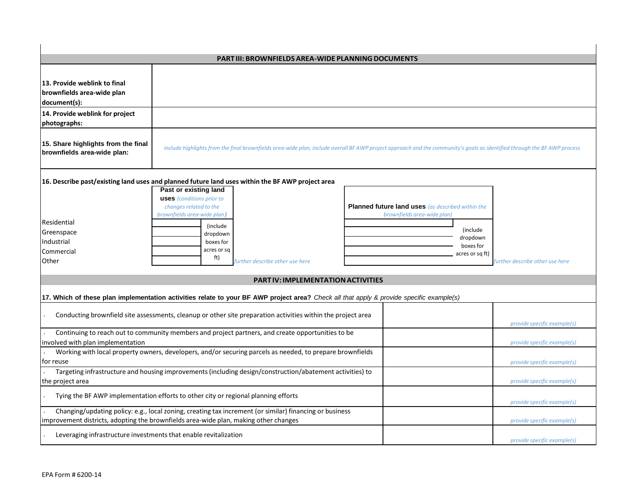| PART III: BROWNFIELDS AREA-WIDE PLANNING DOCUMENTS                                                                                                                                                                             |                                                                                                                                                     |                                                                                                                                                                             |                             |  |  |  |
|--------------------------------------------------------------------------------------------------------------------------------------------------------------------------------------------------------------------------------|-----------------------------------------------------------------------------------------------------------------------------------------------------|-----------------------------------------------------------------------------------------------------------------------------------------------------------------------------|-----------------------------|--|--|--|
|                                                                                                                                                                                                                                |                                                                                                                                                     |                                                                                                                                                                             |                             |  |  |  |
| 13. Provide weblink to final<br>brownfields area-wide plan<br>document(s):                                                                                                                                                     |                                                                                                                                                     |                                                                                                                                                                             |                             |  |  |  |
| 14. Provide weblink for project<br>photographs:                                                                                                                                                                                |                                                                                                                                                     |                                                                                                                                                                             |                             |  |  |  |
| 15. Share highlights from the final<br>brownfields area-wide plan:                                                                                                                                                             |                                                                                                                                                     | include highlights from the final brownfields area-wide plan, include overall BFAWP project approach and the community's goals as identified through the BFAWP process      |                             |  |  |  |
| 16. Describe past/existing land uses and planned future land uses within the BF AWP project area<br>Past or existing land<br><b>uses</b> (conditions prior to                                                                  |                                                                                                                                                     |                                                                                                                                                                             |                             |  |  |  |
| Residential<br>Greenspace<br>Industrial<br>Commercial<br>Other                                                                                                                                                                 | changes related to the<br>brownfields area-wide plan)<br>(include<br>dropdown<br>boxes for<br>acres or sq<br>ft)<br>further describe other use here | Planned future land uses (as described within the<br>brownfields area-wide plan)<br>(include<br>dropdown<br>boxes for<br>acres or sq ft)<br>further describe other use here |                             |  |  |  |
| <b>PART IV: IMPLEMENTATION ACTIVITIES</b>                                                                                                                                                                                      |                                                                                                                                                     |                                                                                                                                                                             |                             |  |  |  |
|                                                                                                                                                                                                                                |                                                                                                                                                     |                                                                                                                                                                             |                             |  |  |  |
|                                                                                                                                                                                                                                | 17. Which of these plan implementation activities relate to your BF AWP project area? Check all that apply & provide specific example(s)            |                                                                                                                                                                             |                             |  |  |  |
| Conducting brownfield site assessments, cleanup or other site preparation activities within the project area<br>provide specific example(s)                                                                                    |                                                                                                                                                     |                                                                                                                                                                             |                             |  |  |  |
| Continuing to reach out to community members and project partners, and create opportunities to be<br>involved with plan implementation<br>provide specific example(s)                                                          |                                                                                                                                                     |                                                                                                                                                                             |                             |  |  |  |
| Working with local property owners, developers, and/or securing parcels as needed, to prepare brownfields                                                                                                                      |                                                                                                                                                     |                                                                                                                                                                             |                             |  |  |  |
| for reuse<br>provide specific example(s)<br>Targeting infrastructure and housing improvements (including design/construction/abatement activities) to                                                                          |                                                                                                                                                     |                                                                                                                                                                             |                             |  |  |  |
| the project area<br>provide specific example(s)                                                                                                                                                                                |                                                                                                                                                     |                                                                                                                                                                             |                             |  |  |  |
| Tying the BF AWP implementation efforts to other city or regional planning efforts<br>provide specific example(s)                                                                                                              |                                                                                                                                                     |                                                                                                                                                                             |                             |  |  |  |
| Changing/updating policy: e.g., local zoning, creating tax increment (or similar) financing or business<br>improvement districts, adopting the brownfields area-wide plan, making other changes<br>provide specific example(s) |                                                                                                                                                     |                                                                                                                                                                             |                             |  |  |  |
| Leveraging infrastructure investments that enable revitalization                                                                                                                                                               |                                                                                                                                                     |                                                                                                                                                                             | provide specific example(s) |  |  |  |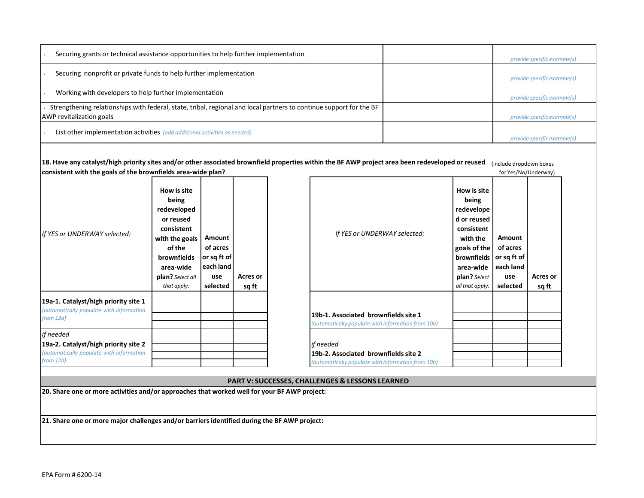| Securing grants or technical assistance opportunities to help further implementation                                                            | provide specific example(s) |
|-------------------------------------------------------------------------------------------------------------------------------------------------|-----------------------------|
| Securing nonprofit or private funds to help further implementation                                                                              | provide specific example(s) |
| Working with developers to help further implementation                                                                                          | provide specific example(s) |
| Strengthening relationships with federal, state, tribal, regional and local partners to continue support for the BF<br>AWP revitalization goals | provide specific example(s) |
| List other implementation activities (add additional activities as needed)                                                                      | provide specific example(s) |

| 18. Have any catalyst/high priority sites and/or other associated brownfield properties within the BF AWP project area been redeveloped or reused<br>(include dropdown boxes<br>consistent with the goals of the brownfields area-wide plan?<br>for Yes/No/Underway) |                              |          |  |                              |                             |          |  |  |
|----------------------------------------------------------------------------------------------------------------------------------------------------------------------------------------------------------------------------------------------------------------------|------------------------------|----------|--|------------------------------|-----------------------------|----------|--|--|
|                                                                                                                                                                                                                                                                      | How is site<br>being         |          |  |                              | How is site<br>being        |          |  |  |
|                                                                                                                                                                                                                                                                      | redeveloped<br>or reused     |          |  |                              | redevelope<br>d or reused l |          |  |  |
| If YES or UNDERWAY selected:                                                                                                                                                                                                                                         | consistent<br>with the goals | Amount   |  | If YES or UNDERWAY selected: | consistent<br>with the      | Amount   |  |  |
|                                                                                                                                                                                                                                                                      | of the                       | of acres |  |                              | I goals of the I            | of acres |  |  |

| u ils oi ondenna sciccicu.                                                                                 | with the goals<br>of the<br><b>brownfields</b><br>area-wide<br><b>plan?</b> Select all<br>that apply: | <b>Amount</b><br>of acres<br>or sa ft of<br>each land<br>use<br>selected | Acres or<br>sq ft | "" "Ly of one cheer of screeted.                                                                        |
|------------------------------------------------------------------------------------------------------------|-------------------------------------------------------------------------------------------------------|--------------------------------------------------------------------------|-------------------|---------------------------------------------------------------------------------------------------------|
| 19a-1. Catalyst/high priority site 1<br>(automatically populate with information<br>from 12a)              |                                                                                                       |                                                                          |                   | 19b-1. Associated brownfields site 1<br>(automatically populate with information from 10a)              |
| If needed<br>19a-2. Catalyst/high priority site 2<br>(automatically populate with information<br>from 12b) |                                                                                                       |                                                                          |                   | if needed<br>19b-2. Associated brownfields site 2<br>(automatically populate with information from 10b) |

| <b>PART V: SUCCESSES, CHALLENGES &amp; LESSONS LEARNED</b> |
|------------------------------------------------------------|

**brownfields or sq ft of area-wide each land**

> **use selected**

**Acres or sq ft**

**plan?** *Select allthat apply:*

**20. Share one or more activities and/or approaches that worked well for your BF AWP project:**

**21. Share one or more major challenges and/or barriers identified during the BF AWP project:**

 $\mathbf{I}$